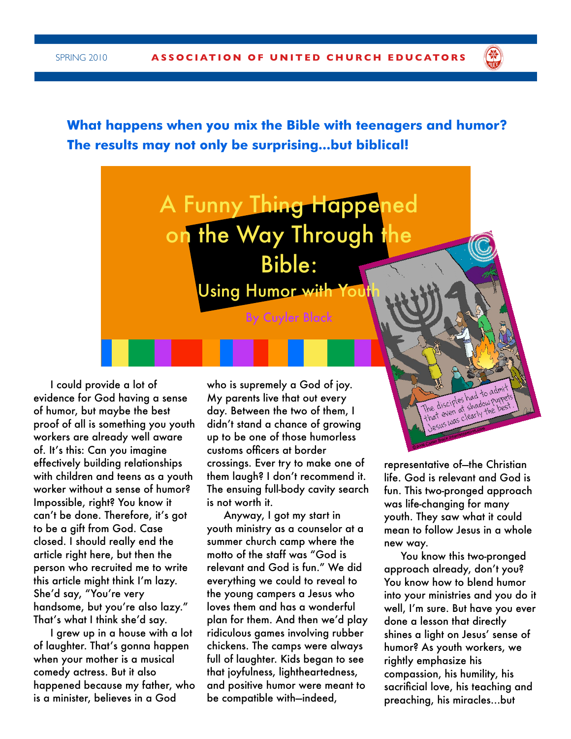**What happens when you mix the Bible with teenagers and humor? The results may not only be surprising...but biblical!**



I could provide a lot of evidence for God having a sense of humor, but maybe the best proof of all is something you youth workers are already well aware of. It's this: Can you imagine effectively building relationships with children and teens as a youth worker without a sense of humor? Impossible, right? You know it can't be done. Therefore, it's got to be a gift from God. Case closed. I should really end the article right here, but then the person who recruited me to write this article might think I'm lazy. She'd say, "You're very handsome, but you're also lazy." That's what I think she'd say.

I grew up in a house with a lot of laughter. That's gonna happen when your mother is a musical comedy actress. But it also happened because my father, who is a minister, believes in a God

who is supremely a God of joy. My parents live that out every day. Between the two of them, I didn't stand a chance of growing up to be one of those humorless customs officers at border crossings. Ever try to make one of them laugh? I don't recommend it. The ensuing full-body cavity search is not worth it.

Anyway, I got my start in youth ministry as a counselor at a summer church camp where the motto of the staff was "God is relevant and God is fun." We did everything we could to reveal to the young campers a Jesus who loves them and has a wonderful plan for them. And then we'd play ridiculous games involving rubber chickens. The camps were always full of laughter. Kids began to see that joyfulness, lightheartedness, and positive humor were meant to be compatible with—indeed,

representative of—the Christian life. God is relevant and God is fun. This two-pronged approach was life-changing for many youth. They saw what it could mean to follow Jesus in a whole new way.

**RE** 

You know this two-pronged approach already, don't you? You know how to blend humor into your ministries and you do it well, I'm sure. But have you ever done a lesson that directly shines a light on Jesus' sense of humor? As youth workers, we rightly emphasize his compassion, his humility, his sacrificial love, his teaching and preaching, his miracles…but